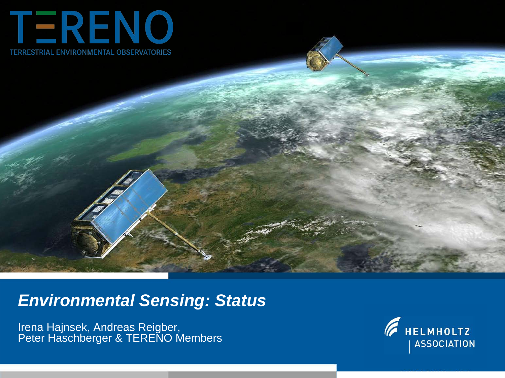

# *Environmental Sensing: Status*

Irena Hajnsek, Andreas Reigber, Peter Haschberger & TERENO Members

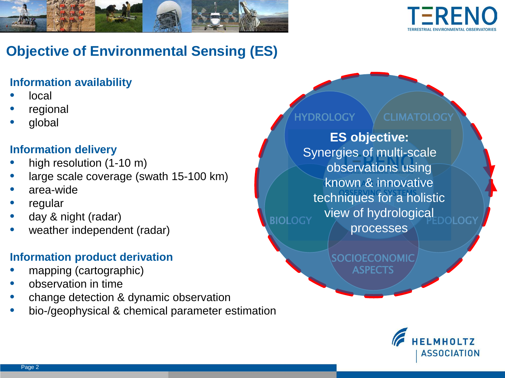



## **Objective of Environmental Sensing (ES)**

#### **Information availability**

- local
- regional
- global

### **Information delivery**

- high resolution (1-10 m)
- large scale coverage (swath 15-100 km)
- area-wide
- **regular**
- day & night (radar)
- weather independent (radar)

### **Information product derivation**

- mapping (cartographic)
- observation in time
- change detection & dynamic observation
- bio-/geophysical & chemical parameter estimation



**BIOLOGY** known & innovative techniques for a holistic **ES objective:** Synergies of multi-scale observations using view of hydrological processes

> **SOCIOECONOMIC** ASPECTS

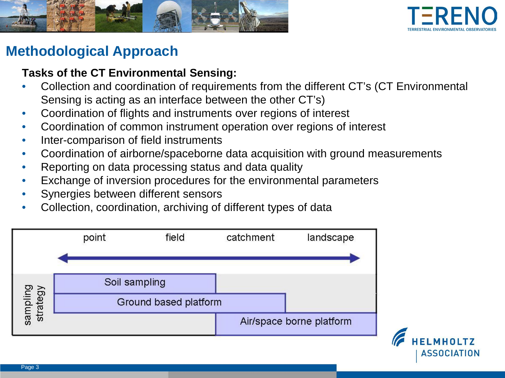



### **Methodological Approach**

### **Tasks of the CT Environmental Sensing:**

- Collection and coordination of requirements from the different CT's (CT Environmental Sensing is acting as an interface between the other CT's)
- Coordination of flights and instruments over regions of interest
- Coordination of common instrument operation over regions of interest
- Inter-comparison of field instruments
- Coordination of airborne/spaceborne data acquisition with ground measurements
- Reporting on data processing status and data quality
- Exchange of inversion procedures for the environmental parameters
- Synergies between different sensors
- Collection, coordination, archiving of different types of data



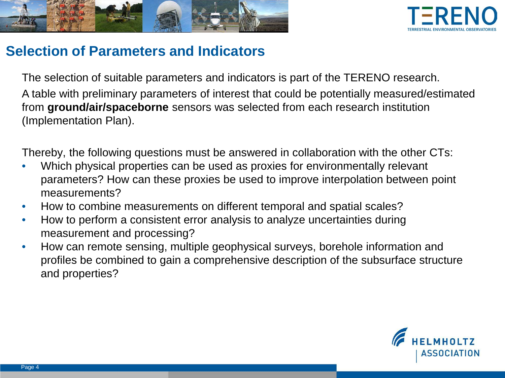



### **Selection of Parameters and Indicators**

The selection of suitable parameters and indicators is part of the TERENO research. A table with preliminary parameters of interest that could be potentially measured/estimated from **ground/air/spaceborne** sensors was selected from each research institution (Implementation Plan).

Thereby, the following questions must be answered in collaboration with the other CTs:

- Which physical properties can be used as proxies for environmentally relevant parameters? How can these proxies be used to improve interpolation between point measurements?
- How to combine measurements on different temporal and spatial scales?
- How to perform a consistent error analysis to analyze uncertainties during measurement and processing?
- How can remote sensing, multiple geophysical surveys, borehole information and profiles be combined to gain a comprehensive description of the subsurface structure and properties?

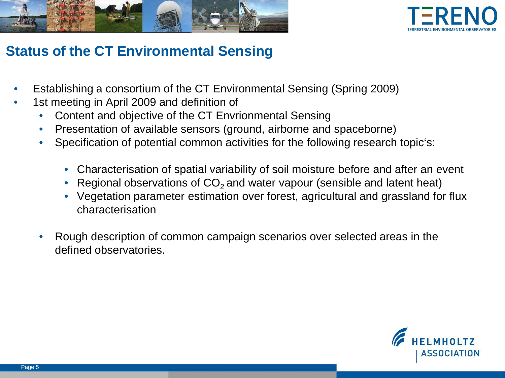



### **Status of the CT Environmental Sensing**

- Establishing a consortium of the CT Environmental Sensing (Spring 2009)
- 1st meeting in April 2009 and definition of
	- Content and objective of the CT Envrionmental Sensing
	- Presentation of available sensors (ground, airborne and spaceborne)
	- Specification of potential common activities for the following research topic's:
		- Characterisation of spatial variability of soil moisture before and after an event
		- Regional observations of  $CO<sub>2</sub>$  and water vapour (sensible and latent heat)
		- Vegetation parameter estimation over forest, agricultural and grassland for flux characterisation
	- Rough description of common campaign scenarios over selected areas in the defined observatories.